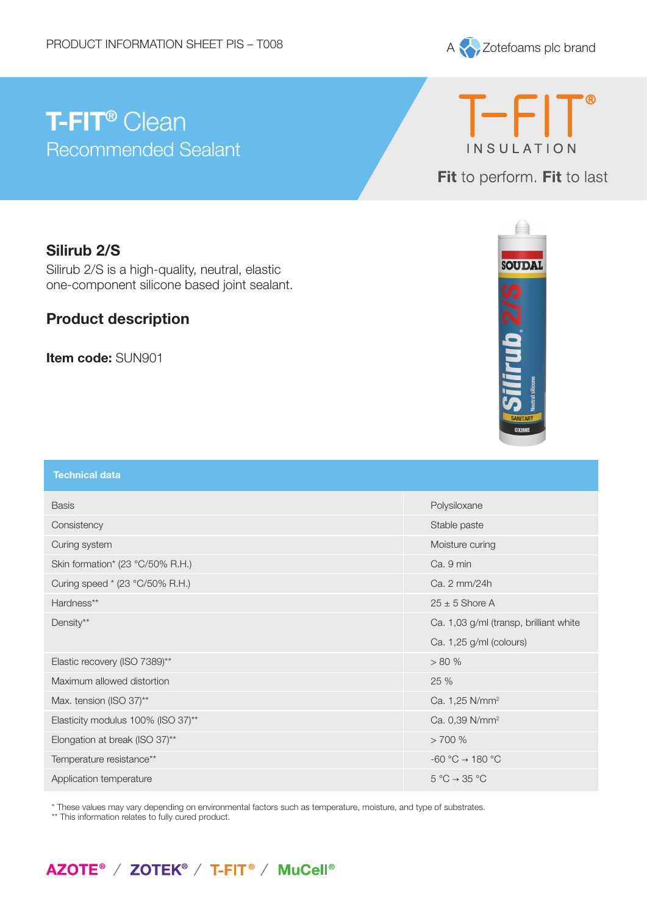

# **T-FIT®** Clean Recommended Sealant

T-FIT<sup>®</sup> **INSULATION** 

Fit to perform. Fit to last

## **Silirub 2/S**

Silirub 2/S is a high-quality, neutral, elastic one-component silicone based joint sealant.

### **Product description**

**Item code:** SUN901



| <b>Technical data</b>              |                                        |
|------------------------------------|----------------------------------------|
| <b>Basis</b>                       | Polysiloxane                           |
| Consistency                        | Stable paste                           |
| Curing system                      | Moisture curing                        |
| Skin formation* (23 °C/50% R.H.)   | Ca. 9 min                              |
| Curing speed * (23 °C/50% R.H.)    | Ca. 2 mm/24h                           |
| Hardness**                         | $25 \pm 5$ Shore A                     |
| Density**                          | Ca. 1,03 g/ml (transp, brilliant white |
|                                    | Ca. 1,25 g/ml (colours)                |
| Elastic recovery (ISO 7389)**      | > 80%                                  |
| Maximum allowed distortion         | 25 %                                   |
| Max. tension (ISO 37)**            | Ca. 1,25 N/mm <sup>2</sup>             |
| Elasticity modulus 100% (ISO 37)** | Ca. 0,39 N/mm <sup>2</sup>             |
| Elongation at break (ISO 37)**     | >700%                                  |
| Temperature resistance**           | $-60 °C \rightarrow 180 °C$            |
| Application temperature            | $5^{\circ}C \rightarrow 35^{\circ}C$   |

\* These values may vary depending on environmental factors such as temperature, moisture, and type of substrates.

\*\* This information relates to fully cured product.

## AZOTE<sup>®</sup> / ZOTEK<sup>®</sup> / T-FIT<sup>®</sup> / MuCell<sup>®</sup>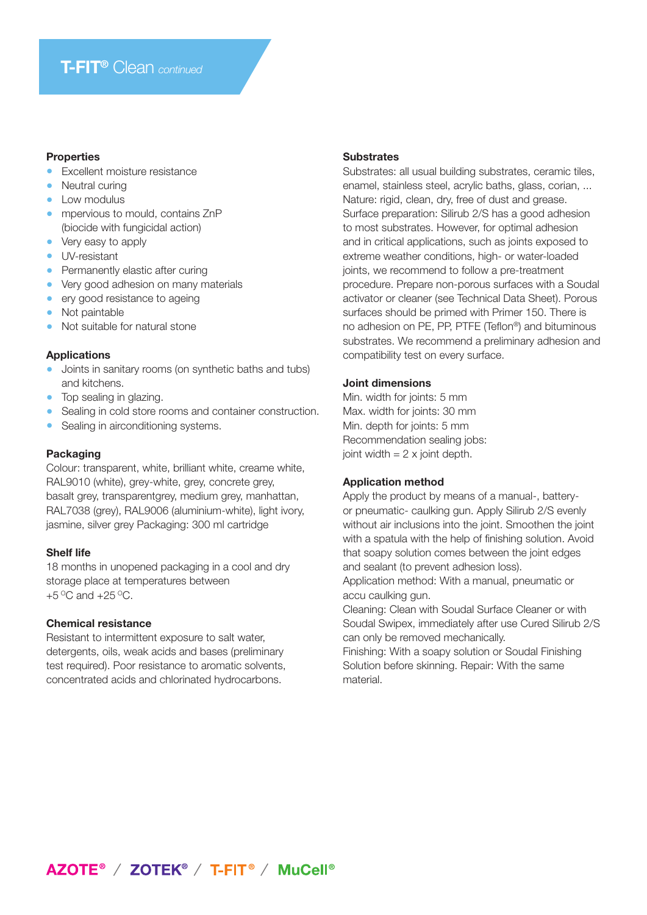#### **Properties**

- **•** Excellent moisture resistance
- **•** Neutral curing
- **•** Low modulus
- **•** mpervious to mould, contains ZnP (biocide with fungicidal action)
- **•** Very easy to apply
- **•** UV-resistant
- **•** Permanently elastic after curing
- **•** Very good adhesion on many materials
- **•** ery good resistance to ageing
- **•** Not paintable
- **•** Not suitable for natural stone

#### **Applications**

- **•** Joints in sanitary rooms (on synthetic baths and tubs) and kitchens.
- **•** Top sealing in glazing.
- **•** Sealing in cold store rooms and container construction.
- **•** Sealing in airconditioning systems.

#### **Packaging**

Colour: transparent, white, brilliant white, creame white, RAL9010 (white), grey-white, grey, concrete grey, basalt grey, transparentgrey, medium grey, manhattan, RAL7038 (grey), RAL9006 (aluminium-white), light ivory, jasmine, silver grey Packaging: 300 ml cartridge

#### **Shelf life**

18 months in unopened packaging in a cool and dry storage place at temperatures between  $+5$  °C and  $+25$  °C.

#### **Chemical resistance**

Resistant to intermittent exposure to salt water, detergents, oils, weak acids and bases (preliminary test required). Poor resistance to aromatic solvents, concentrated acids and chlorinated hydrocarbons.

#### **Substrates**

Substrates: all usual building substrates, ceramic tiles, enamel, stainless steel, acrylic baths, glass, corian, ... Nature: rigid, clean, dry, free of dust and grease. Surface preparation: Silirub 2/S has a good adhesion to most substrates. However, for optimal adhesion and in critical applications, such as joints exposed to extreme weather conditions, high- or water-loaded joints, we recommend to follow a pre-treatment procedure. Prepare non-porous surfaces with a Soudal activator or cleaner (see Technical Data Sheet). Porous surfaces should be primed with Primer 150. There is no adhesion on PE, PP, PTFE (Teflon®) and bituminous substrates. We recommend a preliminary adhesion and compatibility test on every surface.

#### **Joint dimensions**

Min. width for joints: 5 mm Max. width for joints: 30 mm Min. depth for joints: 5 mm Recommendation sealing jobs: joint width  $= 2 \times$  joint depth.

#### **Application method**

Apply the product by means of a manual-, batteryor pneumatic- caulking gun. Apply Silirub 2/S evenly without air inclusions into the joint. Smoothen the joint with a spatula with the help of finishing solution. Avoid that soapy solution comes between the joint edges and sealant (to prevent adhesion loss).

Application method: With a manual, pneumatic or accu caulking gun.

Cleaning: Clean with Soudal Surface Cleaner or with Soudal Swipex, immediately after use Cured Silirub 2/S can only be removed mechanically.

Finishing: With a soapy solution or Soudal Finishing Solution before skinning. Repair: With the same material.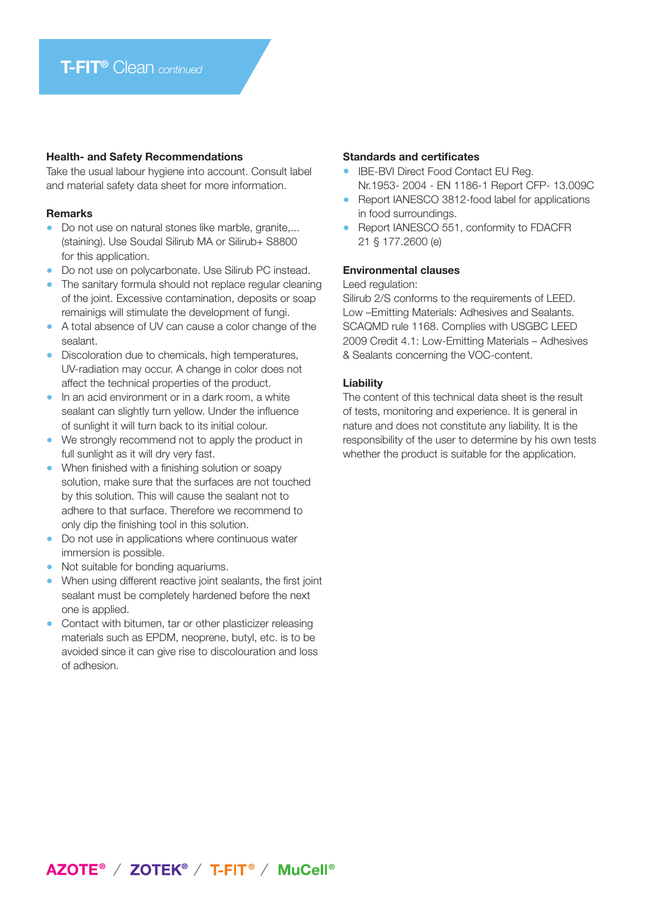#### **Health- and Safety Recommendations**

Take the usual labour hygiene into account. Consult label and material safety data sheet for more information.

#### **Remarks**

- **•** Do not use on natural stones like marble, granite,... (staining). Use Soudal Silirub MA or Silirub+ S8800 for this application.
- **•** Do not use on polycarbonate. Use Silirub PC instead.
- **•** The sanitary formula should not replace regular cleaning of the joint. Excessive contamination, deposits or soap remainigs will stimulate the development of fungi.
- **•** A total absence of UV can cause a color change of the sealant.
- **•** Discoloration due to chemicals, high temperatures, UV-radiation may occur. A change in color does not affect the technical properties of the product.
- **•** In an acid environment or in a dark room, a white sealant can slightly turn yellow. Under the influence of sunlight it will turn back to its initial colour.
- **•** We strongly recommend not to apply the product in full sunlight as it will dry very fast.
- **•** When finished with a finishing solution or soapy solution, make sure that the surfaces are not touched by this solution. This will cause the sealant not to adhere to that surface. Therefore we recommend to only dip the finishing tool in this solution.
- **•** Do not use in applications where continuous water immersion is possible.
- **•** Not suitable for bonding aquariums.
- **•** When using different reactive joint sealants, the first joint sealant must be completely hardened before the next one is applied.
- **•** Contact with bitumen, tar or other plasticizer releasing materials such as EPDM, neoprene, butyl, etc. is to be avoided since it can give rise to discolouration and loss of adhesion.

#### **Standards and certificates**

- **•** IBE-BVI Direct Food Contact EU Reg. Nr.1953- 2004 - EN 1186-1 Report CFP- 13.009C
- **•** Report IANESCO 3812-food label for applications in food surroundings.
- **•** Report IANESCO 551, conformity to FDACFR 21 § 177.2600 (e)

#### **Environmental clauses**

#### Leed regulation:

Silirub 2/S conforms to the requirements of LEED. Low –Emitting Materials: Adhesives and Sealants. SCAQMD rule 1168. Complies with USGBC LEED 2009 Credit 4.1: Low-Emitting Materials – Adhesives & Sealants concerning the VOC-content.

#### **Liability**

The content of this technical data sheet is the result of tests, monitoring and experience. It is general in nature and does not constitute any liability. It is the responsibility of the user to determine by his own tests whether the product is suitable for the application.

## AZOTE<sup>®</sup> / ZOTEK<sup>®</sup> / T-FIT<sup>®</sup> / MuCell<sup>®</sup>